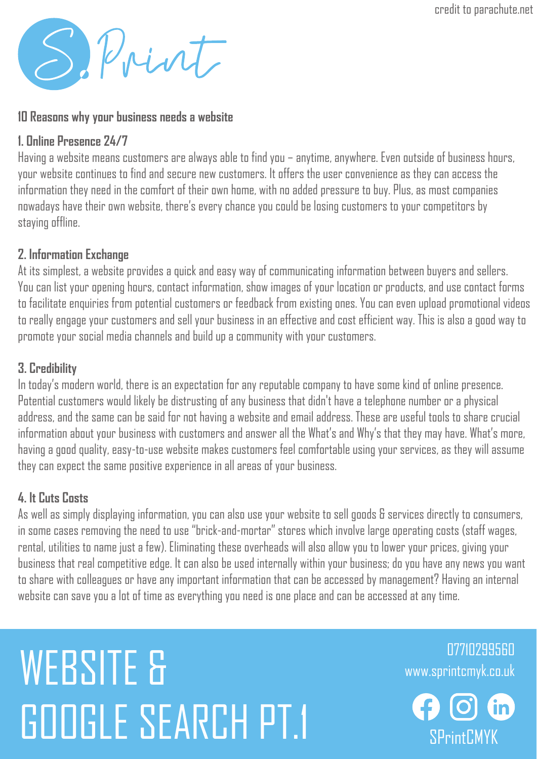

#### **10 Reasons why your business needs a website**

### **1. Online Presence 24/7**

Having a website means customers are always able to find you – anytime, anywhere. Even outside of business hours, your website continues to find and secure new customers. It offers the user convenience as they can access the information they need in the comfort of their own home, with no added pressure to buy. Plus, as most companies nowadays have their own website, there's every chance you could be losing customers to your competitors by staying offline.

#### **2. Information Exchange**

At its simplest, a website provides a quick and easy way of communicating information between buyers and sellers. You can list your opening hours, contact information, show images of your location or products, and use contact forms to facilitate enquiries from potential customers or feedback from existing ones. You can even upload promotional videos to really engage your customers and sell your business in an effective and cost efficient way. This is also a good way to promote your social media channels and build up a community with your customers.

# **3. Credibility**

In today's modern world, there is an expectation for any reputable company to have some kind of online presence. Potential customers would likely be distrusting of any business that didn't have a telephone number or a physical address, and the same can be said for not having a website and email address. These are useful tools to share crucial information about your business with customers and answer all the What's and Why's that they may have. What's more, having a good quality, easy-to-use website makes customers feel comfortable using your services, as they will assume they can expect the same positive experience in all areas of your business.

# **4. It Cuts Costs**

As well as simply displaying information, you can also use your website to sell goods & services directly to consumers, in some cases removing the need to use "brick-and-mortar" stores which involve large operating costs (staff wages, rental, utilities to name just a few). Eliminating these overheads will also allow you to lower your prices, giving your business that real competitive edge. It can also be used internally within your business; do you have any news you want to share with colleagues or have any important information that can be accessed by management? Having an internal website can save you a lot of time as everything you need is one place and can be accessed at any time.

# WEBSITE & GOOGLE SEARCH PT.1

www.sprintcmyk.co.uk 07710299560